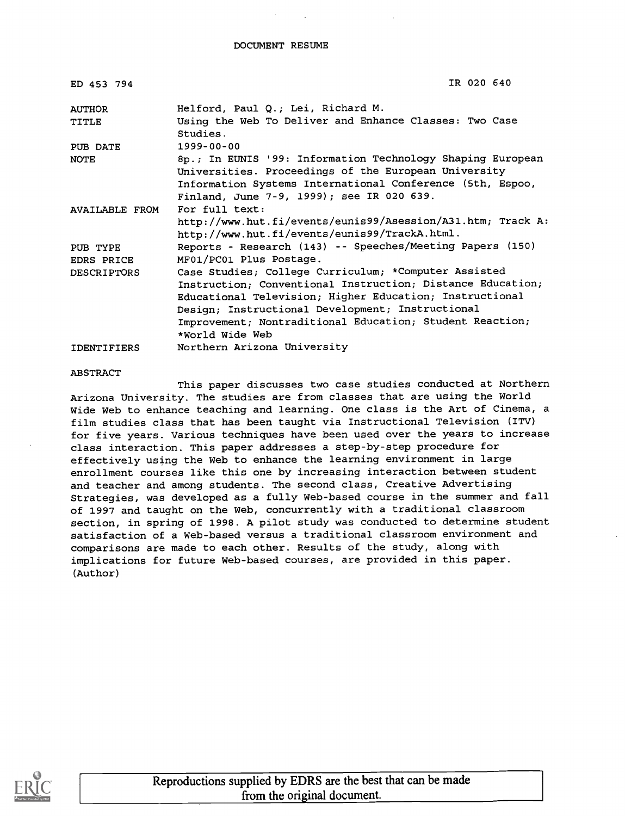| ED 453 794         | IR 020 640                                                                                                                                                     |
|--------------------|----------------------------------------------------------------------------------------------------------------------------------------------------------------|
| <b>AUTHOR</b>      | Helford, Paul Q.; Lei, Richard M.                                                                                                                              |
| TITLE              | Using the Web To Deliver and Enhance Classes: Two Case<br>Studies.                                                                                             |
| PUB DATE           | 1999-00-00                                                                                                                                                     |
| <b>NOTE</b>        | 8p.; In EUNIS '99: Information Technology Shaping European                                                                                                     |
|                    | Universities. Proceedings of the European University<br>Information Systems International Conference (5th, Espoo,<br>Finland, June 7-9, 1999); see IR 020 639. |
| AVAILABLE FROM     | For full text:                                                                                                                                                 |
|                    | http://www.hut.fi/events/eunis99/Asession/A31.htm; Track A:<br>http://www.hut.fi/events/eunis99/TrackA.html.                                                   |
| PUB TYPE           | Reports - Research (143) -- Speeches/Meeting Papers (150)                                                                                                      |
| EDRS PRICE         | MF01/PC01 Plus Postage.                                                                                                                                        |
| <b>DESCRIPTORS</b> | Case Studies; College Curriculum; *Computer Assisted                                                                                                           |
|                    | Instruction; Conventional Instruction; Distance Education;                                                                                                     |
|                    | Educational Television; Higher Education; Instructional                                                                                                        |
|                    | Design; Instructional Development; Instructional                                                                                                               |
|                    | Improvement; Nontraditional Education; Student Reaction;                                                                                                       |
|                    | *World Wide Web                                                                                                                                                |
| <b>IDENTIFIERS</b> | Northern Arizona University                                                                                                                                    |

#### ABSTRACT

This paper discusses two case studies conducted at Northern Arizona University. The studies are from classes that are using the World Wide Web to enhance teaching and learning. One class is the Art of Cinema, a film studies class that has been taught via Instructional Television (ITV) for five years. Various techniques have been used over the years to increase class interaction. This paper addresses a step-by-step procedure for effectively using the Web to enhance the learning environment in large enrollment courses like this one by increasing interaction between student and teacher and among students. The second class, Creative Advertising Strategies, was developed as a fully Web-based course in the summer and fall of 1997 and taught on the Web, concurrently with a traditional classroom section, in spring of 1998. A pilot study was conducted to determine student satisfaction of a Web-based versus a traditional classroom environment and comparisons are made to each other. Results of the study, along with implications for future Web-based courses, are provided in this paper. (Author)

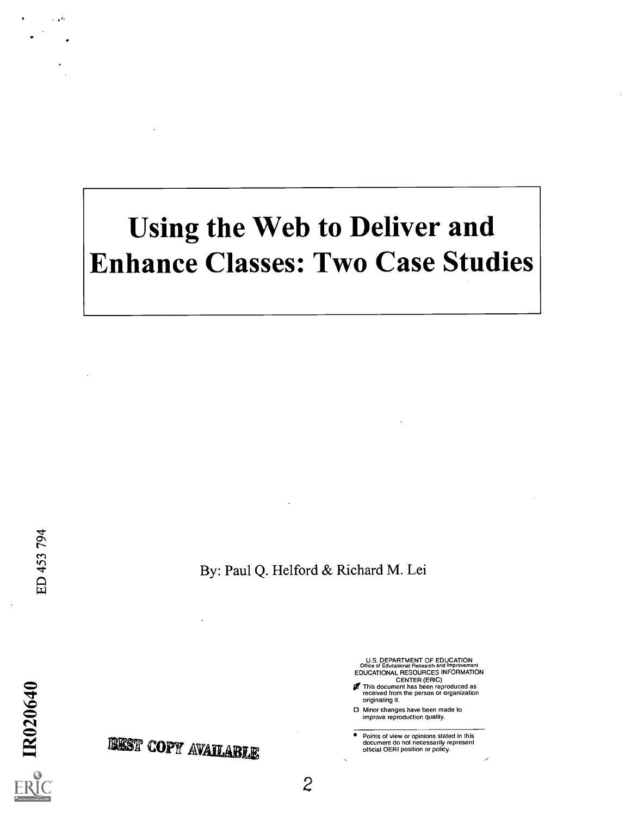# Using the Web to Deliver and Enhance Classes: Two Case Studies

By: Paul Q. Helford & Richard M. Lei

U.S. DEPARTMENT OF EDUCATION Office of Educational Research and Improvement EDUCATIONAL RESOURCES INFORMATION

CENTER (ERIC) This document has been reproduced as received from the person or organization originating it.

Minor changes have been made to improve reproduction quality.

2

Points of view or opinions stated in this document do not necessarily represent official OERI position or policy.

تقويد

 $\sim$  $\sum_{n=1}^{\infty}$ 

 $\Delta$ 

BEST COPY AVAILABLE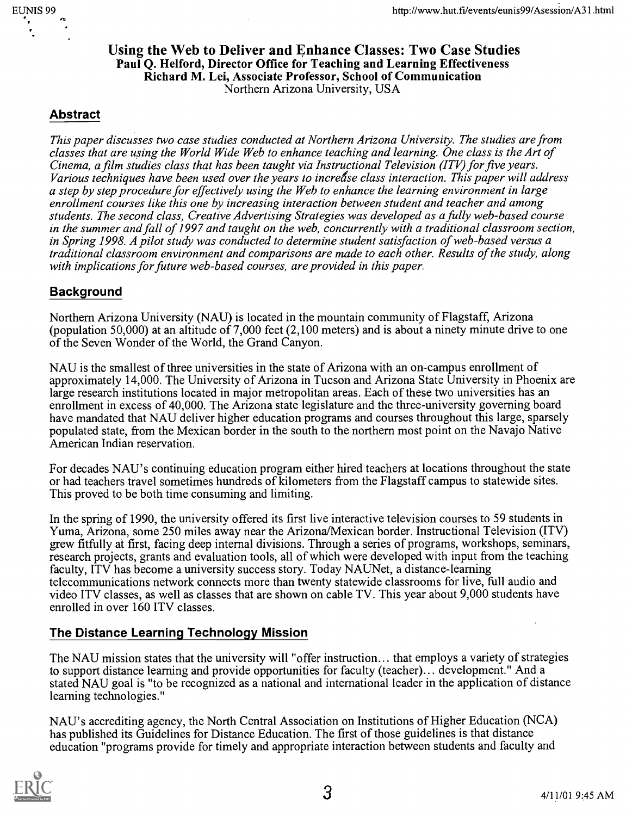### Using the Web to Deliver and Enhance Classes: Two Case Studies Paul Q. Helford, Director Office for Teaching and Learning Effectiveness Richard M. Lei, Associate Professor, School of Communication Northern Arizona University, USA

# Abstract

This paper discusses two case studies conducted at Northern Arizona University. The studies are from classes that are using the World Wide Web to enhance teaching and learning. One class is the Art of Cinema, a film studies class that has been taught via Instructional Television (ITV) for five years. Various techniques have been used over the years to increase class interaction. This paper will address a step by step procedure for effectively using the Web to enhance the learning environment in large enrollment courses like this one by increasing interaction between student and teacher and among students. The second class, Creative Advertising Strategies was developed as a fully web-based course in the summer and fall of 1997 and taught on the web, concurrently with a traditional classroom section, in Spring 1998. A pilot study was conducted to determine student satisfaction of web-based versus a traditional classroom environment and comparisons are made to each other. Results of the study, along with implications for future web-based courses, are provided in this paper.

# Background

Northern Arizona University (NAU) is located in the mountain community of Flagstaff, Arizona (population 50,000) at an altitude of 7,000 feet (2,100 meters) and is about a ninety minute drive to one of the Seven Wonder of the World, the Grand Canyon.

NAU is the smallest of three universities in the state of Arizona with an on-campus enrollment of approximately 14,000. The University of Arizona in Tucson and Arizona State University in Phoenix are large research institutions located in major metropolitan areas. Each of these two universities has an enrollment in excess of 40,000. The Arizona state legislature and the three-university governing board have mandated that NAU deliver higher education programs and courses throughout this large, sparsely populated state, from the Mexican border in the south to the northern most point on the Navajo Native American Indian reservation.

For decades NAU's continuing education program either hired teachers at locations throughout the state or had teachers travel sometimes hundreds of kilometers from the Flagstaff campus to statewide sites. This proved to be both time consuming and limiting.

In the spring of 1990, the university offered its first live interactive television courses to 59 students in Yuma, Arizona, some 250 miles away near the Arizona/Mexican border. Instructional Television (ITV) grew fitfully at first, facing deep internal divisions. Through a series of programs, workshops, seminars, research projects, grants and evaluation tools, all of which were developed with input from the teaching faculty, ITV has become a university success story. Today NAUNet, a distance-learning telecommunications network connects more than twenty statewide classrooms for live, full audio and video ITV classes, as well as classes that are shown on cable TV. This year about 9,000 students have enrolled in over 160 ITV classes.

# The Distance Learning Technology Mission

The NAU mission states that the university will "offer instruction... that employs a variety of strategies to support distance learning and provide opportunities for faculty (teacher)... development." And a stated NAU goal is "to be recognized as a national and international leader in the application of distance learning technologies."

NAU's accrediting agency, the North Central Association on Institutions of Higher Education (NCA) has published its Guidelines for Distance Education. The first of those guidelines is that distance education "programs provide for timely and appropriate interaction between students and faculty and

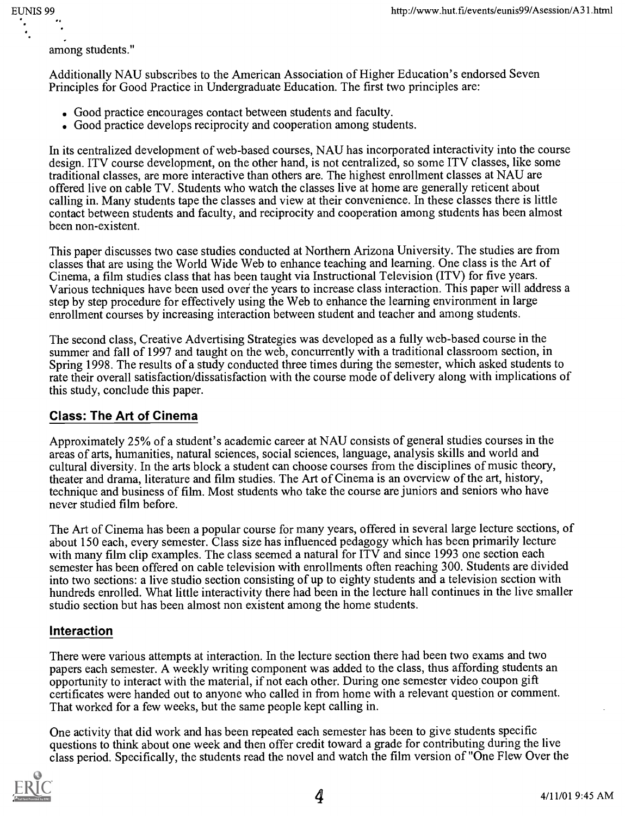EUNIS 99

among students."

Additionally NAU subscribes to the American Association of Higher Education's endorsed Seven Principles for Good Practice in Undergraduate Education. The first two principles are:

- . Good practice encourages contact between students and faculty.
- Good practice develops reciprocity and cooperation among students.

In its centralized development of web-based courses, NAU has incorporated interactivity into the course design. ITV course development, on the other hand, is not centralized, so some ITV classes, like some traditional classes, are more interactive than others are. The highest enrollment classes at NAU are offered live on cable TV. Students who watch the classes live at home are generally reticent about calling in. Many students tape the classes and view at their convenience. In these classes there is little contact between students and faculty, and reciprocity and cooperation among students has been almost been non-existent.

This paper discusses two case studies conducted at Northern Arizona University. The studies are from classes that are using the World Wide Web to enhance teaching and learning. One class is the Art of Cinema, a film studies class that has been taught via Instructional Television (ITV) for five years. Various techniques have been used over the years to increase class interaction. This paper will address a step by step procedure for effectively using the Web to enhance the learning environment in large enrollment courses by increasing interaction between student and teacher and among students.

The second class, Creative Advertising Strategies was developed as a fully web-based course in the summer and fall of 1997 and taught on the web, concurrently with a traditional classroom section, in Spring 1998. The results of a study conducted three times during the semester, which asked students to rate their overall satisfaction/dissatisfaction with the course mode of delivery along with implications of this study, conclude this paper.

# Class: The Art of Cinema

Approximately 25% of a student's academic career at NAU consists of general studies courses in the areas of arts, humanities, natural sciences, social sciences, language, analysis skills and world and cultural diversity. In the arts block a student can choose courses from the disciplines of music theory, theater and drama, literature and film studies. The Art of Cinema is an overview of the art, history, technique and business of film. Most students who take the course are juniors and seniors who have never studied film before.

The Art of Cinema has been a popular course for many years, offered in several large lecture sections, of about 150 each, every semester. Class size has influenced pedagogy which has been primarily lecture with many film clip examples. The class seemed a natural for ITV and since 1993 one section each semester has been offered on cable television with enrollments often reaching 300. Students are divided into two sections: a live studio section consisting of up to eighty students and a television section with hundreds enrolled. What little interactivity there had been in the lecture hall continues in the live smaller studio section but has been almost non existent among the home students.

### Interaction

There were various attempts at interaction. In the lecture section there had been two exams and two papers each semester. A weekly writing component was added to the class, thus affording students an opportunity to interact with the material, if not each other. During one semester video coupon gift certificates were handed out to anyone who called in from home with a relevant question or comment. That worked for a few weeks, but the same people kept calling in.

One activity that did work and has been repeated each semester has been to give students specific questions to think about one week and then offer credit toward a grade for contributing during the live class period. Specifically, the students read the novel and watch the film version of "One Flew Over the

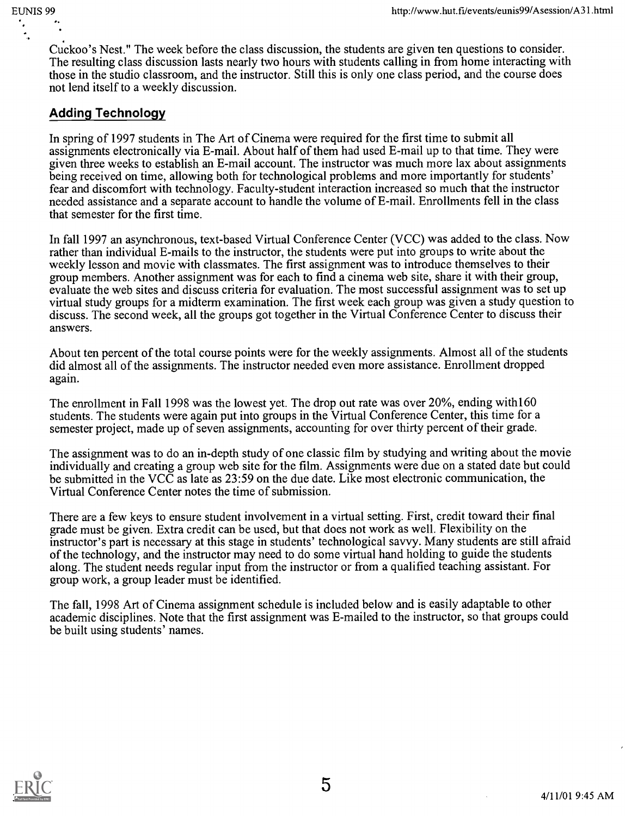Cuckoo's Nest." The week before the class discussion, the students are given ten questions to consider. The resulting class discussion lasts nearly two hours with students calling in from home interacting with those in the studio classroom, and the instructor. Still this is only one class period, and the course does not lend itself to a weekly discussion.

# Adding Technology

In spring of 1997 students in The Art of Cinema were required for the first time to submit all assignments electronically via E-mail. About half of them had used E-mail up to that time. They were given three weeks to establish an E-mail account. The instructor was much more lax about assignments being received on time, allowing both for technological problems and more importantly for students' fear and discomfort with technology. Faculty-student interaction increased so much that the instructor needed assistance and a separate account to handle the volume of E-mail. Enrollments fell in the class that semester for the first time.

In fall 1997 an asynchronous, text-based Virtual Conference Center (VCC) was added to the class. Now rather than individual E-mails to the instructor, the students were put into groups to write about the weekly lesson and movie with classmates. The first assignment was to introduce themselves to their group members. Another assignment was for each to find a cinema web site, share it with their group, evaluate the web sites and discuss criteria for evaluation. The most successful assignment was to set up virtual study groups for a midterm examination. The first week each group was given a study question to discuss. The second week, all the groups got together in the Virtual Conference Center to discuss their answers.

About ten percent of the total course points were for the weekly assignments. Almost all of the students did almost all of the assignments. The instructor needed even more assistance. Enrollment dropped again.

The enrollment in Fall 1998 was the lowest yet. The drop out rate was over 20%, ending with160 students. The students were again put into groups in the Virtual Conference Center, this time for a semester project, made up of seven assignments, accounting for over thirty percent of their grade.

The assignment was to do an in-depth study of one classic film by studying and writing about the movie individually and creating a group web site for the film. Assignments were due on a stated date but could be submitted in the VCC as late as 23:59 on the due date. Like most electronic communication, the Virtual Conference Center notes the time of submission.

There are a few keys to ensure student involvement in a virtual setting. First, credit toward their final grade must be given. Extra credit can be used, but that does not work as well. Flexibility on the instructor's part is necessary at this stage in students' technological savvy. Many students are still afraid of the technology, and the instructor may need to do some virtual hand holding to guide the students along. The student needs regular input from the instructor or from a qualified teaching assistant. For group work, a group leader must be identified.

The fall, 1998 Art of Cinema assignment schedule is included below and is easily adaptable to other academic disciplines. Note that the first assignment was E-mailed to the instructor, so that groups could be built using students' names.

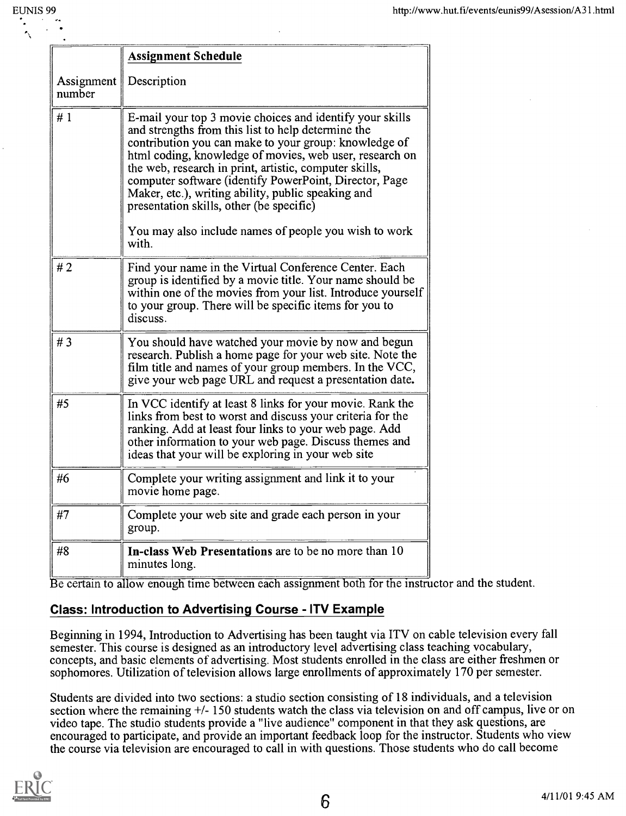|                      | <b>Assignment Schedule</b>                                                                                                                                                                                                                                                                                                                                                                                                                               |
|----------------------|----------------------------------------------------------------------------------------------------------------------------------------------------------------------------------------------------------------------------------------------------------------------------------------------------------------------------------------------------------------------------------------------------------------------------------------------------------|
| Assignment<br>number | Description                                                                                                                                                                                                                                                                                                                                                                                                                                              |
| #1                   | E-mail your top 3 movie choices and identify your skills<br>and strengths from this list to help determine the<br>contribution you can make to your group: knowledge of<br>html coding, knowledge of movies, web user, research on<br>the web, research in print, artistic, computer skills,<br>computer software (identify PowerPoint, Director, Page<br>Maker, etc.), writing ability, public speaking and<br>presentation skills, other (be specific) |
|                      | You may also include names of people you wish to work<br>with.                                                                                                                                                                                                                                                                                                                                                                                           |
| #2                   | Find your name in the Virtual Conference Center. Each<br>group is identified by a movie title. Your name should be<br>within one of the movies from your list. Introduce yourself<br>to your group. There will be specific items for you to<br>discuss.                                                                                                                                                                                                  |
| #3                   | You should have watched your movie by now and begun<br>research. Publish a home page for your web site. Note the<br>film title and names of your group members. In the VCC,<br>give your web page URL and request a presentation date.                                                                                                                                                                                                                   |
| #5                   | In VCC identify at least 8 links for your movie. Rank the<br>links from best to worst and discuss your criteria for the<br>ranking. Add at least four links to your web page. Add<br>other information to your web page. Discuss themes and<br>ideas that your will be exploring in your web site                                                                                                                                                        |
| #6                   | Complete your writing assignment and link it to your<br>movie home page.                                                                                                                                                                                                                                                                                                                                                                                 |
| #7                   | Complete your web site and grade each person in your<br>group.                                                                                                                                                                                                                                                                                                                                                                                           |
| #8                   | In-class Web Presentations are to be no more than 10<br>minutes long.                                                                                                                                                                                                                                                                                                                                                                                    |
|                      | low apouch time between each occionment both for the instru                                                                                                                                                                                                                                                                                                                                                                                              |

e certain to allow enough time between each assignment both for the instructor and the student.

# Class: Introduction to Advertising Course - ITV Example

Beginning in 1994, Introduction to Advertising has been taught via ITV on cable television every fall semester. This course is designed as an introductory level advertising class teaching vocabulary, concepts, and basic elements of advertising. Most students enrolled in the class are either freshmen or sophomores. Utilization of television allows large enrollments of approximately 170 per semester.

Students are divided into two sections: a studio section consisting of 18 individuals, and a television section where the remaining +/- 150 students watch the class via television on and off campus, live or on video tape. The studio students provide a "live audience" component in that they ask questions, are encouraged to participate, and provide an important feedback loop for the instructor. Students who view the course via television are encouraged to call in with questions. Those students who do call become

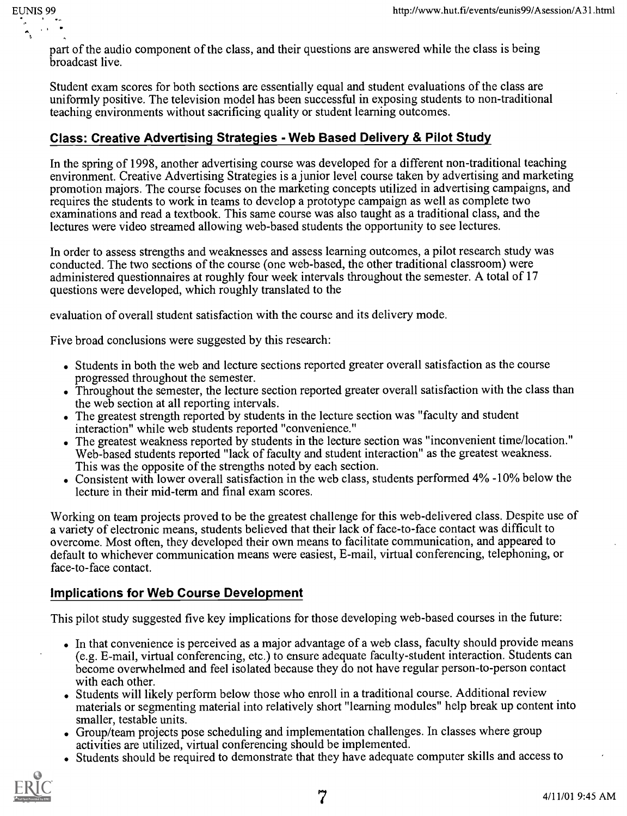part of the audio component of the class, and their questions are answered while the class is being broadcast live.

Student exam scores for both sections are essentially equal and student evaluations of the class are uniformly positive. The television model has been successful in exposing students to non-traditional teaching environments without sacrificing quality or student learning outcomes.

# Class: Creative Advertising Strategies - Web Based Delivery & Pilot Study

In the spring of 1998, another advertising course was developed for a different non-traditional teaching environment. Creative Advertising Strategies is a junior level course taken by advertising and marketing promotion majors. The course focuses on the marketing concepts utilized in advertising campaigns, and requires the students to work in teams to develop a prototype campaign as well as complete two examinations and read a textbook. This same course was also taught as a traditional class, and the lectures were video streamed allowing web-based students the opportunity to see lectures.

In order to assess strengths and weaknesses and assess learning outcomes, a pilot research study was conducted. The two sections of the course (one web-based, the other traditional classroom) were administered questionnaires at roughly four week intervals throughout the semester. A total of 17 questions were developed, which roughly translated to the

evaluation of overall student satisfaction with the course and its delivery mode.

Five broad conclusions were suggested by this research:

- Students in both the web and lecture sections reported greater overall satisfaction as the course progressed throughout the semester.
- Throughout the semester, the lecture section reported greater overall satisfaction with the class than the web section at all reporting intervals.
- The greatest strength reported by students in the lecture section was "faculty and student interaction" while web students reported "convenience."
- The greatest weakness reported by students in the lecture section was "inconvenient time/location." Web-based students reported "lack of faculty and student interaction" as the greatest weakness. This was the opposite of the strengths noted by each section.
- Consistent with lower overall satisfaction in the web class, students performed 4% -10% below the lecture in their mid-term and final exam scores.

Working on team projects proved to be the greatest challenge for this web-delivered class. Despite use of a variety of electronic means, students believed that their lack of face-to-face contact was difficult to overcome. Most often, they developed their own means to facilitate communication, and appeared to default to whichever communication means were easiest, E-mail, virtual conferencing, telephoning, or face-to-face contact.

## Implications for Web Course Development

This pilot study suggested five key implications for those developing web-based courses in the future:

- In that convenience is perceived as a major advantage of a web class, faculty should provide means (e.g. E-mail, virtual conferencing, etc.) to ensure adequate faculty-student interaction. Students can become overwhelmed and feel isolated because they do not have regular person-to-person contact with each other.
- Students will likely perform below those who enroll in a traditional course. Additional review materials or segmenting material into relatively short "learning modules" help break up content into smaller, testable units.
- . Group/team projects pose scheduling and implementation challenges. In classes where group activities are utilized, virtual conferencing should be implemented.
- . Students should be required to demonstrate that they have adequate computer skills and access to



EUNIS 99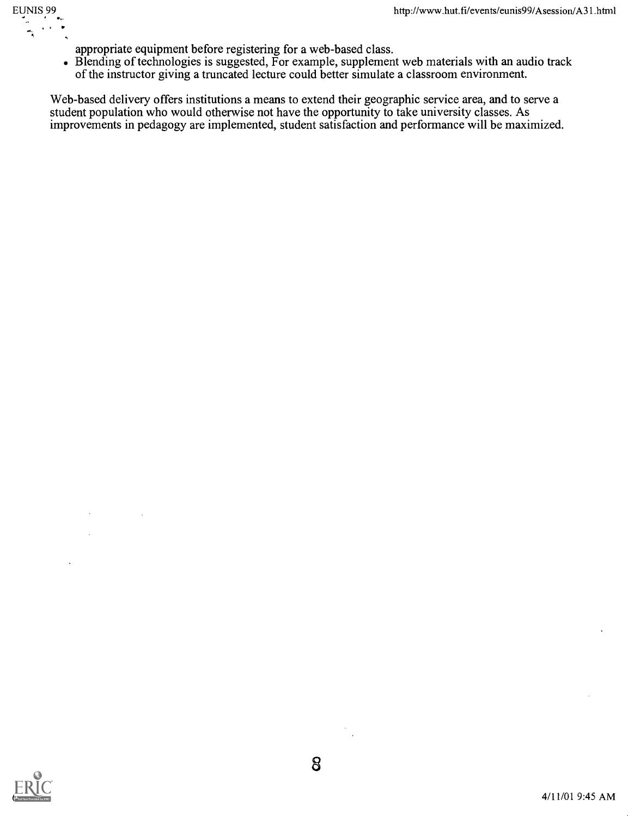

- appropriate equipment before registering for a web-based class.
- Blending of technologies is suggested, For example, supplement web materials with an audio track of the instructor giving a truncated lecture could better simulate a classroom environment.

Web-based delivery offers institutions a means to extend their geographic service area, and to serve a student population who would otherwise not have the opportunity to take university classes. As improvements in pedagogy are implemented, student satisfaction and performance will be maximized.